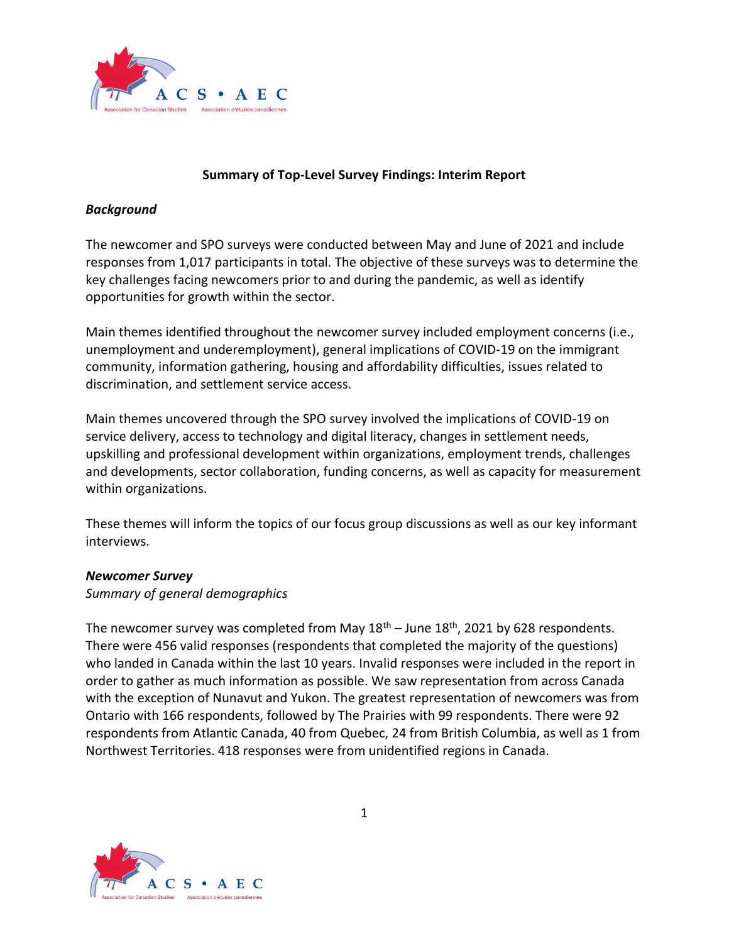

#### **Summary of Top-Level Survey Findings: Interim Report**

#### *Background*

The newcomer and SPO surveys were conducted between May and June of 2021 and include responses from 1,017 participants in total. The objective of these surveys was to determine the key challenges facing newcomers prior to and during the pandemic, as well as identify opportunities for growth within the sector.

Main themes identified throughout the newcomer survey included employment concerns (i.e., unemployment and underemployment), general implications of COVID-19 on the immigrant community, information gathering, housing and affordability difficulties, issues related to discrimination, and settlement service access.

Main themes uncovered through the SPO survey involved the implications of COVID-19 on service delivery, access to technology and digital literacy, changes in settlement needs, upskilling and professional development within organizations, employment trends, challenges and developments, sector collaboration, funding concerns, as well as capacity for measurement within organizations.

These themes will inform the topics of our focus group discussions as well as our key informant interviews.

#### *Newcomer Survey*

#### *Summary of general demographics*

The newcomer survey was completed from May  $18<sup>th</sup>$  – June  $18<sup>th</sup>$ , 2021 by 628 respondents. There were 456 valid responses (respondents that completed the majority of the questions) who landed in Canada within the last 10 years. Invalid responses were included in the report in order to gather as much information as possible. We saw representation from across Canada with the exception of Nunavut and Yukon. The greatest representation of newcomers was from Ontario with 166 respondents, followed by The Prairies with 99 respondents. There were 92 respondents from Atlantic Canada, 40 from Quebec, 24 from British Columbia, as well as 1 from Northwest Territories. 418 responses were from unidentified regions in Canada.

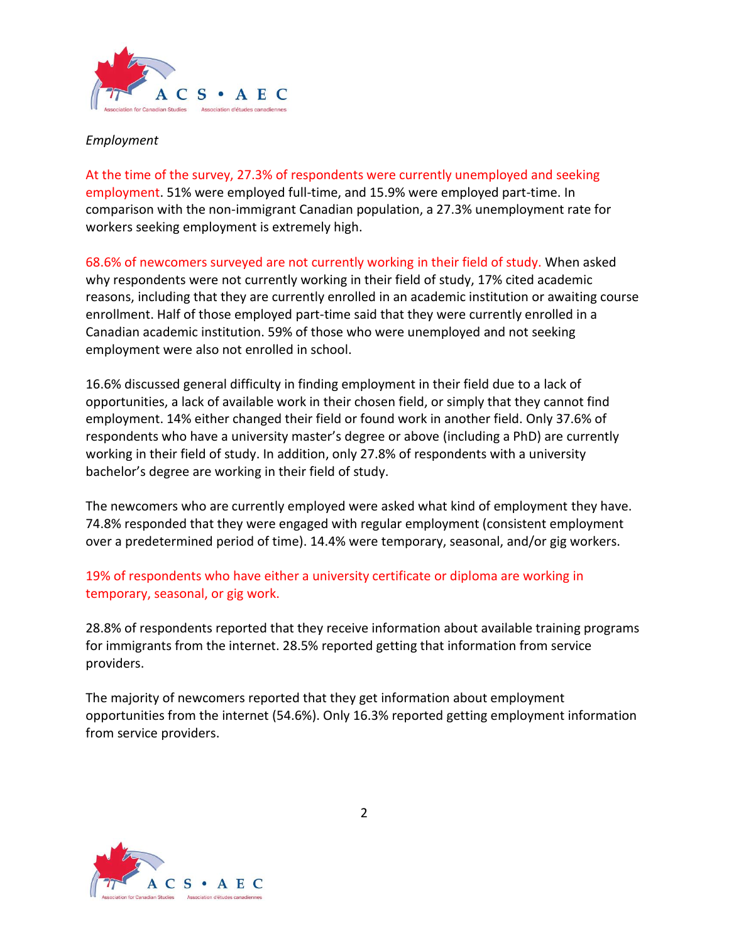

#### *Employment*

At the time of the survey, 27.3% of respondents were currently unemployed and seeking employment. 51% were employed full-time, and 15.9% were employed part-time. In comparison with the non-immigrant Canadian population, a 27.3% unemployment rate for workers seeking employment is extremely high.

68.6% of newcomers surveyed are not currently working in their field of study. When asked why respondents were not currently working in their field of study, 17% cited academic reasons, including that they are currently enrolled in an academic institution or awaiting course enrollment. Half of those employed part-time said that they were currently enrolled in a Canadian academic institution. 59% of those who were unemployed and not seeking employment were also not enrolled in school.

16.6% discussed general difficulty in finding employment in their field due to a lack of opportunities, a lack of available work in their chosen field, or simply that they cannot find employment. 14% either changed their field or found work in another field. Only 37.6% of respondents who have a university master's degree or above (including a PhD) are currently working in their field of study. In addition, only 27.8% of respondents with a university bachelor's degree are working in their field of study.

The newcomers who are currently employed were asked what kind of employment they have. 74.8% responded that they were engaged with regular employment (consistent employment over a predetermined period of time). 14.4% were temporary, seasonal, and/or gig workers.

19% of respondents who have either a university certificate or diploma are working in temporary, seasonal, or gig work.

28.8% of respondents reported that they receive information about available training programs for immigrants from the internet. 28.5% reported getting that information from service providers.

The majority of newcomers reported that they get information about employment opportunities from the internet (54.6%). Only 16.3% reported getting employment information from service providers.

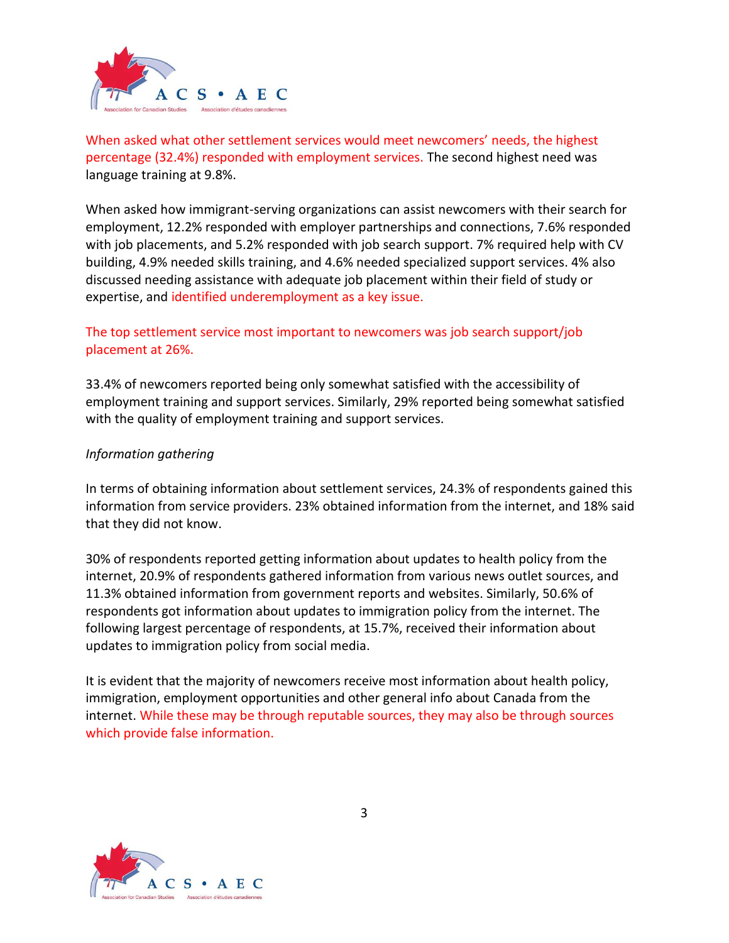

When asked what other settlement services would meet newcomers' needs, the highest percentage (32.4%) responded with employment services. The second highest need was language training at 9.8%.

When asked how immigrant-serving organizations can assist newcomers with their search for employment, 12.2% responded with employer partnerships and connections, 7.6% responded with job placements, and 5.2% responded with job search support. 7% required help with CV building, 4.9% needed skills training, and 4.6% needed specialized support services. 4% also discussed needing assistance with adequate job placement within their field of study or expertise, and identified underemployment as a key issue.

# The top settlement service most important to newcomers was job search support/job placement at 26%.

33.4% of newcomers reported being only somewhat satisfied with the accessibility of employment training and support services. Similarly, 29% reported being somewhat satisfied with the quality of employment training and support services.

# *Information gathering*

In terms of obtaining information about settlement services, 24.3% of respondents gained this information from service providers. 23% obtained information from the internet, and 18% said that they did not know.

30% of respondents reported getting information about updates to health policy from the internet, 20.9% of respondents gathered information from various news outlet sources, and 11.3% obtained information from government reports and websites. Similarly, 50.6% of respondents got information about updates to immigration policy from the internet. The following largest percentage of respondents, at 15.7%, received their information about updates to immigration policy from social media.

It is evident that the majority of newcomers receive most information about health policy, immigration, employment opportunities and other general info about Canada from the internet. While these may be through reputable sources, they may also be through sources which provide false information.

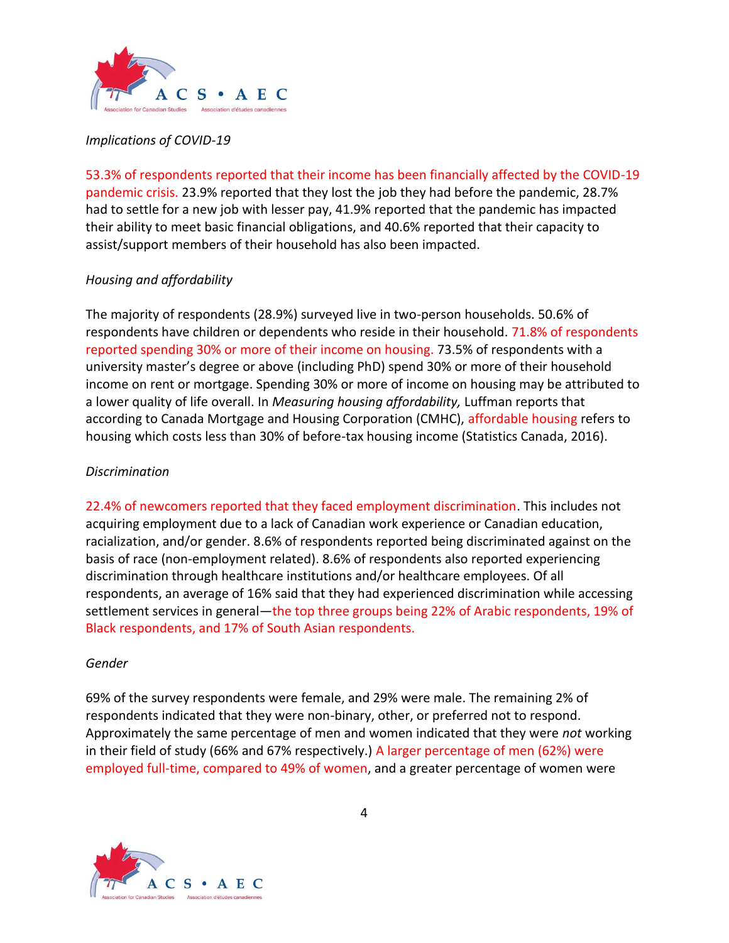

## *Implications of COVID-19*

53.3% of respondents reported that their income has been financially affected by the COVID-19 pandemic crisis. 23.9% reported that they lost the job they had before the pandemic, 28.7% had to settle for a new job with lesser pay, 41.9% reported that the pandemic has impacted their ability to meet basic financial obligations, and 40.6% reported that their capacity to assist/support members of their household has also been impacted.

# *Housing and affordability*

The majority of respondents (28.9%) surveyed live in two-person households. 50.6% of respondents have children or dependents who reside in their household. 71.8% of respondents reported spending 30% or more of their income on housing. 73.5% of respondents with a university master's degree or above (including PhD) spend 30% or more of their household income on rent or mortgage. Spending 30% or more of income on housing may be attributed to a lower quality of life overall. In *Measuring housing affordability,* Luffman reports that according to Canada Mortgage and Housing Corporation (CMHC), affordable housing refers to housing which costs less than 30% of before-tax housing income (Statistics Canada, 2016).

## *Discrimination*

22.4% of newcomers reported that they faced employment discrimination. This includes not acquiring employment due to a lack of Canadian work experience or Canadian education, racialization, and/or gender. 8.6% of respondents reported being discriminated against on the basis of race (non-employment related). 8.6% of respondents also reported experiencing discrimination through healthcare institutions and/or healthcare employees. Of all respondents, an average of 16% said that they had experienced discrimination while accessing settlement services in general—the top three groups being 22% of Arabic respondents, 19% of Black respondents, and 17% of South Asian respondents.

#### *Gender*

69% of the survey respondents were female, and 29% were male. The remaining 2% of respondents indicated that they were non-binary, other, or preferred not to respond. Approximately the same percentage of men and women indicated that they were *not* working in their field of study (66% and 67% respectively.) A larger percentage of men (62%) were employed full-time, compared to 49% of women, and a greater percentage of women were

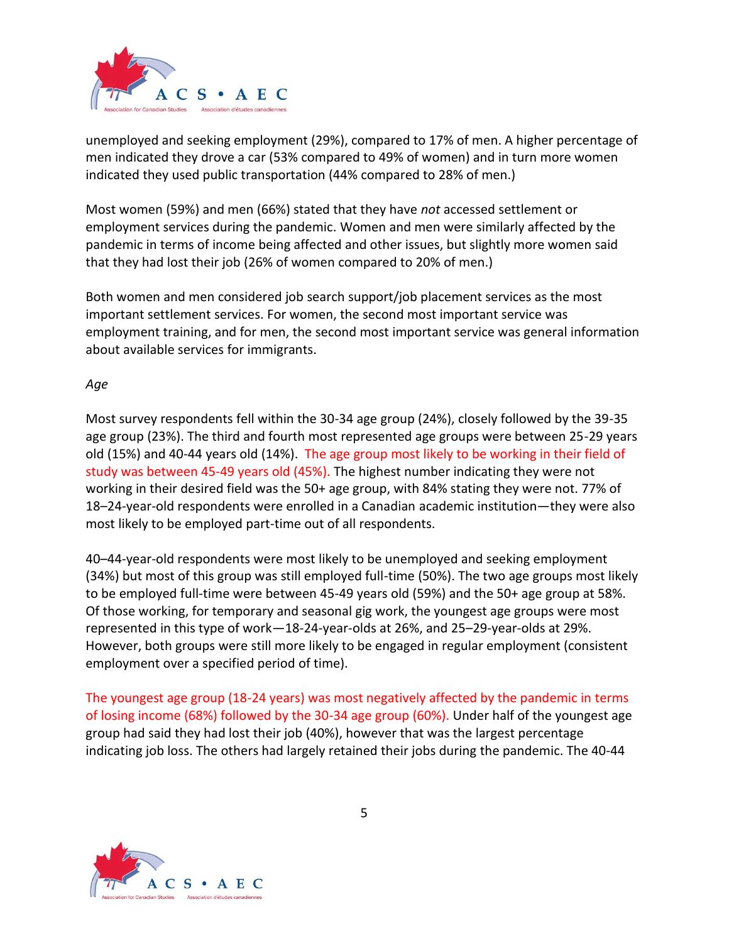

unemployed and seeking employment (29%), compared to 17% of men. A higher percentage of men indicated they drove a car (53% compared to 49% of women) and in turn more women indicated they used public transportation (44% compared to 28% of men.)

Most women (59%) and men (66%) stated that they have *not* accessed settlement or employment services during the pandemic. Women and men were similarly affected by the pandemic in terms of income being affected and other issues, but slightly more women said that they had lost their job (26% of women compared to 20% of men.)

Both women and men considered job search support/job placement services as the most important settlement services. For women, the second most important service was employment training, and for men, the second most important service was general information about available services for immigrants.

# *Age*

Most survey respondents fell within the 30-34 age group (24%), closely followed by the 39-35 age group (23%). The third and fourth most represented age groups were between 25-29 years old (15%) and 40-44 years old (14%). The age group most likely to be working in their field of study was between 45-49 years old (45%). The highest number indicating they were not working in their desired field was the 50+ age group, with 84% stating they were not. 77% of 18–24-year-old respondents were enrolled in a Canadian academic institution—they were also most likely to be employed part-time out of all respondents.

40–44-year-old respondents were most likely to be unemployed and seeking employment (34%) but most of this group was still employed full-time (50%). The two age groups most likely to be employed full-time were between 45-49 years old (59%) and the 50+ age group at 58%. Of those working, for temporary and seasonal gig work, the youngest age groups were most represented in this type of work—18-24-year-olds at 26%, and 25–29-year-olds at 29%. However, both groups were still more likely to be engaged in regular employment (consistent employment over a specified period of time).

The youngest age group (18-24 years) was most negatively affected by the pandemic in terms of losing income (68%) followed by the 30-34 age group (60%). Under half of the youngest age group had said they had lost their job (40%), however that was the largest percentage indicating job loss. The others had largely retained their jobs during the pandemic. The 40-44

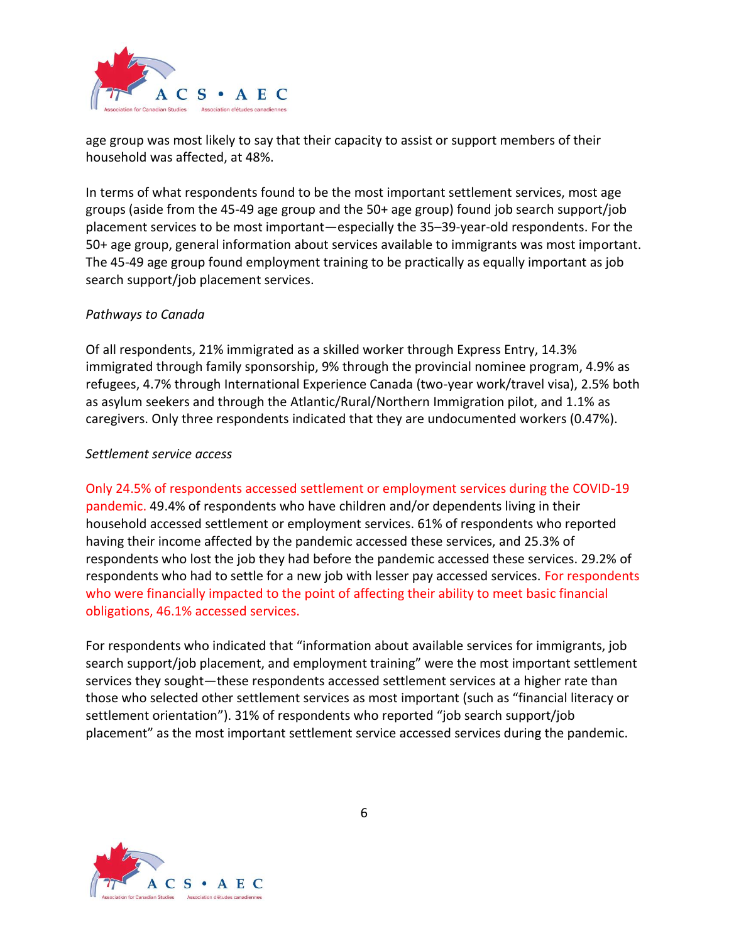

age group was most likely to say that their capacity to assist or support members of their household was affected, at 48%.

In terms of what respondents found to be the most important settlement services, most age groups (aside from the 45-49 age group and the 50+ age group) found job search support/job placement services to be most important—especially the 35–39-year-old respondents. For the 50+ age group, general information about services available to immigrants was most important. The 45-49 age group found employment training to be practically as equally important as job search support/job placement services.

#### *Pathways to Canada*

Of all respondents, 21% immigrated as a skilled worker through Express Entry, 14.3% immigrated through family sponsorship, 9% through the provincial nominee program, 4.9% as refugees, 4.7% through International Experience Canada (two-year work/travel visa), 2.5% both as asylum seekers and through the Atlantic/Rural/Northern Immigration pilot, and 1.1% as caregivers. Only three respondents indicated that they are undocumented workers (0.47%).

# *Settlement service access*

Only 24.5% of respondents accessed settlement or employment services during the COVID-19 pandemic. 49.4% of respondents who have children and/or dependents living in their household accessed settlement or employment services. 61% of respondents who reported having their income affected by the pandemic accessed these services, and 25.3% of respondents who lost the job they had before the pandemic accessed these services. 29.2% of respondents who had to settle for a new job with lesser pay accessed services. For respondents who were financially impacted to the point of affecting their ability to meet basic financial obligations, 46.1% accessed services.

For respondents who indicated that "information about available services for immigrants, job search support/job placement, and employment training" were the most important settlement services they sought—these respondents accessed settlement services at a higher rate than those who selected other settlement services as most important (such as "financial literacy or settlement orientation"). 31% of respondents who reported "job search support/job placement" as the most important settlement service accessed services during the pandemic.

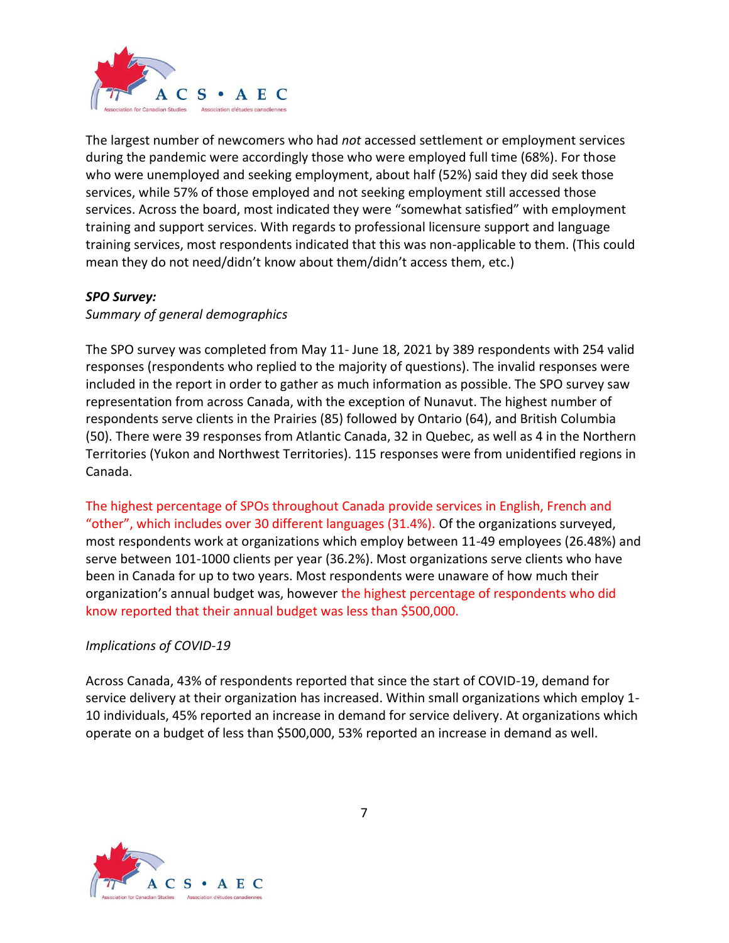

The largest number of newcomers who had *not* accessed settlement or employment services during the pandemic were accordingly those who were employed full time (68%). For those who were unemployed and seeking employment, about half (52%) said they did seek those services, while 57% of those employed and not seeking employment still accessed those services. Across the board, most indicated they were "somewhat satisfied" with employment training and support services. With regards to professional licensure support and language training services, most respondents indicated that this was non-applicable to them. (This could mean they do not need/didn't know about them/didn't access them, etc.)

#### *SPO Survey:*

*Summary of general demographics*

The SPO survey was completed from May 11- June 18, 2021 by 389 respondents with 254 valid responses (respondents who replied to the majority of questions). The invalid responses were included in the report in order to gather as much information as possible. The SPO survey saw representation from across Canada, with the exception of Nunavut. The highest number of respondents serve clients in the Prairies (85) followed by Ontario (64), and British Columbia (50). There were 39 responses from Atlantic Canada, 32 in Quebec, as well as 4 in the Northern Territories (Yukon and Northwest Territories). 115 responses were from unidentified regions in Canada.

The highest percentage of SPOs throughout Canada provide services in English, French and "other", which includes over 30 different languages (31.4%). Of the organizations surveyed, most respondents work at organizations which employ between 11-49 employees (26.48%) and serve between 101-1000 clients per year (36.2%). Most organizations serve clients who have been in Canada for up to two years. Most respondents were unaware of how much their organization's annual budget was, however the highest percentage of respondents who did know reported that their annual budget was less than \$500,000.

# *Implications of COVID-19*

Across Canada, 43% of respondents reported that since the start of COVID-19, demand for service delivery at their organization has increased. Within small organizations which employ 1- 10 individuals, 45% reported an increase in demand for service delivery. At organizations which operate on a budget of less than \$500,000, 53% reported an increase in demand as well.

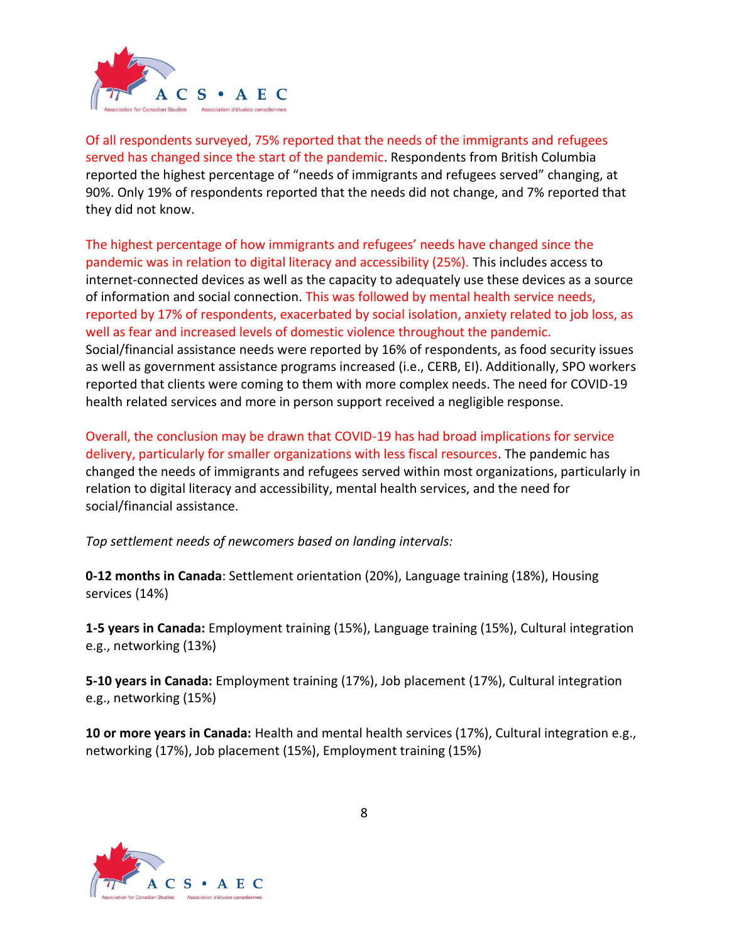

Of all respondents surveyed, 75% reported that the needs of the immigrants and refugees served has changed since the start of the pandemic. Respondents from British Columbia reported the highest percentage of "needs of immigrants and refugees served" changing, at 90%. Only 19% of respondents reported that the needs did not change, and 7% reported that they did not know.

The highest percentage of how immigrants and refugees' needs have changed since the pandemic was in relation to digital literacy and accessibility (25%). This includes access to internet-connected devices as well as the capacity to adequately use these devices as a source of information and social connection. This was followed by mental health service needs, reported by 17% of respondents, exacerbated by social isolation, anxiety related to job loss, as well as fear and increased levels of domestic violence throughout the pandemic. Social/financial assistance needs were reported by 16% of respondents, as food security issues as well as government assistance programs increased (i.e., CERB, EI). Additionally, SPO workers reported that clients were coming to them with more complex needs. The need for COVID-19 health related services and more in person support received a negligible response.

Overall, the conclusion may be drawn that COVID-19 has had broad implications for service delivery, particularly for smaller organizations with less fiscal resources. The pandemic has changed the needs of immigrants and refugees served within most organizations, particularly in relation to digital literacy and accessibility, mental health services, and the need for social/financial assistance.

*Top settlement needs of newcomers based on landing intervals:*

**0-12 months in Canada**: Settlement orientation (20%), Language training (18%), Housing services (14%)

**1-5 years in Canada:** Employment training (15%), Language training (15%), Cultural integration e.g., networking (13%)

**5-10 years in Canada:** Employment training (17%), Job placement (17%), Cultural integration e.g., networking (15%)

**10 or more years in Canada:** Health and mental health services (17%), Cultural integration e.g., networking (17%), Job placement (15%), Employment training (15%)

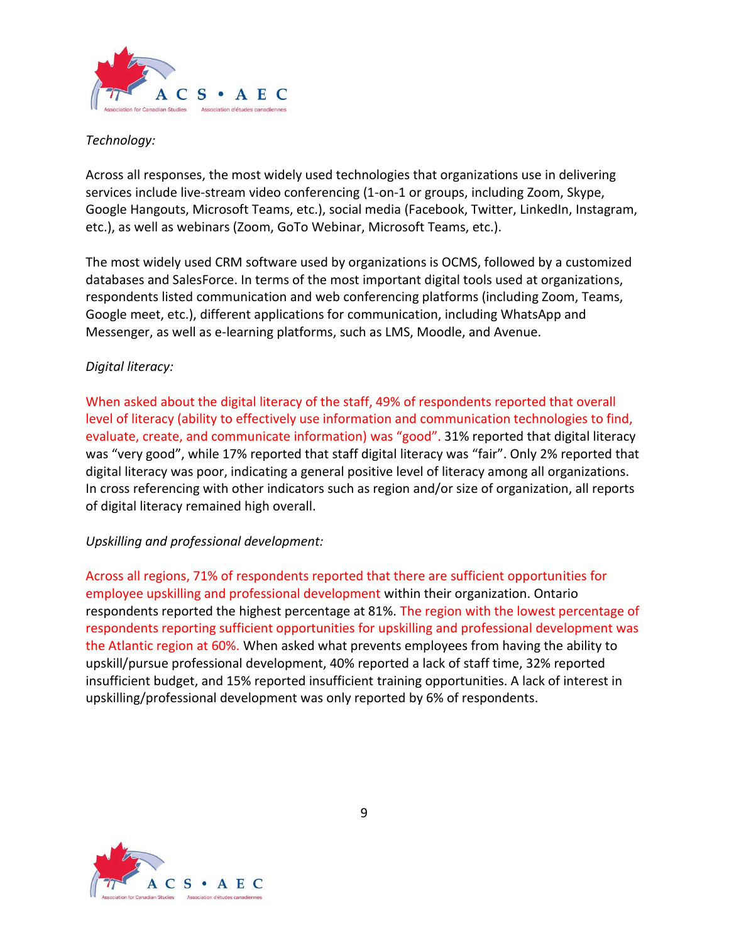

# *Technology:*

Across all responses, the most widely used technologies that organizations use in delivering services include live-stream video conferencing (1-on-1 or groups, including Zoom, Skype, Google Hangouts, Microsoft Teams, etc.), social media (Facebook, Twitter, LinkedIn, Instagram, etc.), as well as webinars (Zoom, GoTo Webinar, Microsoft Teams, etc.).

The most widely used CRM software used by organizations is OCMS, followed by a customized databases and SalesForce. In terms of the most important digital tools used at organizations, respondents listed communication and web conferencing platforms (including Zoom, Teams, Google meet, etc.), different applications for communication, including WhatsApp and Messenger, as well as e-learning platforms, such as LMS, Moodle, and Avenue.

# *Digital literacy:*

When asked about the digital literacy of the staff, 49% of respondents reported that overall level of literacy (ability to effectively use information and communication technologies to find, evaluate, create, and communicate information) was "good". 31% reported that digital literacy was "very good", while 17% reported that staff digital literacy was "fair". Only 2% reported that digital literacy was poor, indicating a general positive level of literacy among all organizations. In cross referencing with other indicators such as region and/or size of organization, all reports of digital literacy remained high overall.

#### *Upskilling and professional development:*

Across all regions, 71% of respondents reported that there are sufficient opportunities for employee upskilling and professional development within their organization. Ontario respondents reported the highest percentage at 81%. The region with the lowest percentage of respondents reporting sufficient opportunities for upskilling and professional development was the Atlantic region at 60%. When asked what prevents employees from having the ability to upskill/pursue professional development, 40% reported a lack of staff time, 32% reported insufficient budget, and 15% reported insufficient training opportunities. A lack of interest in upskilling/professional development was only reported by 6% of respondents.

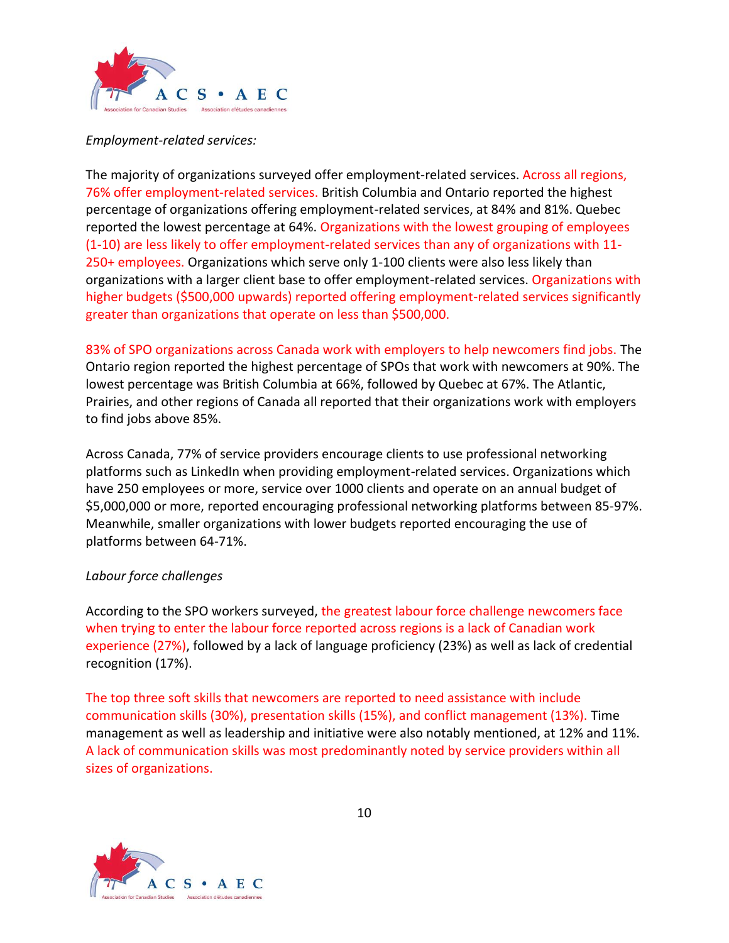

## *Employment-related services:*

The majority of organizations surveyed offer employment-related services. Across all regions, 76% offer employment-related services. British Columbia and Ontario reported the highest percentage of organizations offering employment-related services, at 84% and 81%. Quebec reported the lowest percentage at 64%. Organizations with the lowest grouping of employees (1-10) are less likely to offer employment-related services than any of organizations with 11- 250+ employees. Organizations which serve only 1-100 clients were also less likely than organizations with a larger client base to offer employment-related services. Organizations with higher budgets (\$500,000 upwards) reported offering employment-related services significantly greater than organizations that operate on less than \$500,000.

83% of SPO organizations across Canada work with employers to help newcomers find jobs. The Ontario region reported the highest percentage of SPOs that work with newcomers at 90%. The lowest percentage was British Columbia at 66%, followed by Quebec at 67%. The Atlantic, Prairies, and other regions of Canada all reported that their organizations work with employers to find jobs above 85%.

Across Canada, 77% of service providers encourage clients to use professional networking platforms such as LinkedIn when providing employment-related services. Organizations which have 250 employees or more, service over 1000 clients and operate on an annual budget of \$5,000,000 or more, reported encouraging professional networking platforms between 85-97%. Meanwhile, smaller organizations with lower budgets reported encouraging the use of platforms between 64-71%.

#### *Labour force challenges*

According to the SPO workers surveyed, the greatest labour force challenge newcomers face when trying to enter the labour force reported across regions is a lack of Canadian work experience (27%), followed by a lack of language proficiency (23%) as well as lack of credential recognition (17%).

The top three soft skills that newcomers are reported to need assistance with include communication skills (30%), presentation skills (15%), and conflict management (13%). Time management as well as leadership and initiative were also notably mentioned, at 12% and 11%. A lack of communication skills was most predominantly noted by service providers within all sizes of organizations.

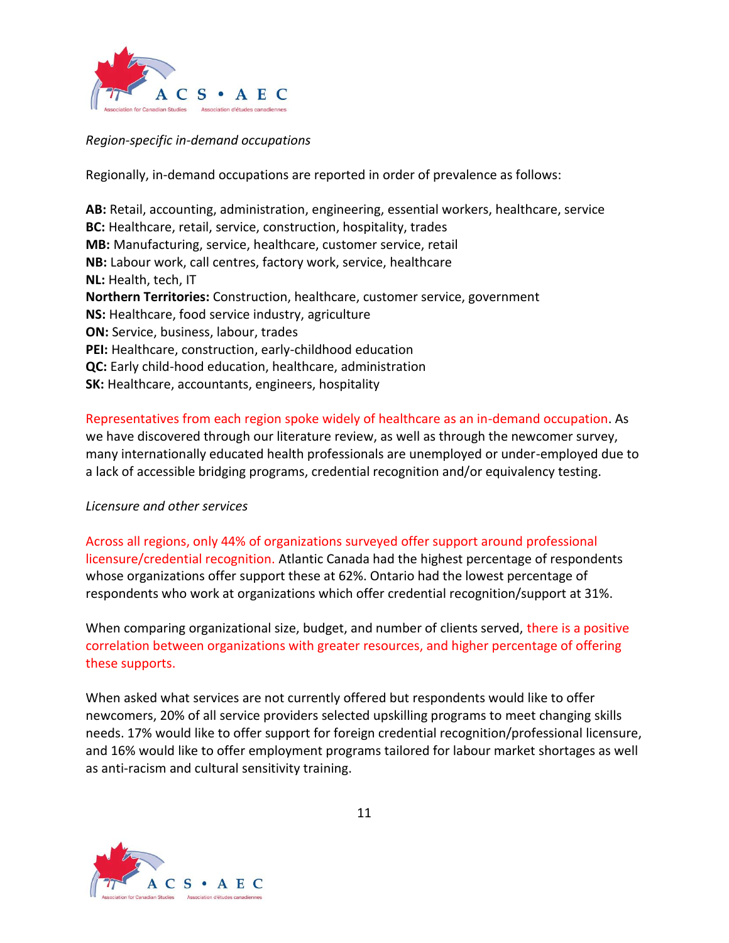

*Region-specific in-demand occupations*

Regionally, in-demand occupations are reported in order of prevalence as follows:

**AB:** Retail, accounting, administration, engineering, essential workers, healthcare, service **BC:** Healthcare, retail, service, construction, hospitality, trades **MB:** Manufacturing, service, healthcare, customer service, retail **NB:** Labour work, call centres, factory work, service, healthcare **NL:** Health, tech, IT **Northern Territories:** Construction, healthcare, customer service, government **NS:** Healthcare, food service industry, agriculture **ON:** Service, business, labour, trades **PEI:** Healthcare, construction, early-childhood education **QC:** Early child-hood education, healthcare, administration **SK:** Healthcare, accountants, engineers, hospitality

# Representatives from each region spoke widely of healthcare as an in-demand occupation. As

we have discovered through our literature review, as well as through the newcomer survey, many internationally educated health professionals are unemployed or under-employed due to a lack of accessible bridging programs, credential recognition and/or equivalency testing.

# *Licensure and other services*

Across all regions, only 44% of organizations surveyed offer support around professional licensure/credential recognition. Atlantic Canada had the highest percentage of respondents whose organizations offer support these at 62%. Ontario had the lowest percentage of respondents who work at organizations which offer credential recognition/support at 31%.

When comparing organizational size, budget, and number of clients served, there is a positive correlation between organizations with greater resources, and higher percentage of offering these supports.

When asked what services are not currently offered but respondents would like to offer newcomers, 20% of all service providers selected upskilling programs to meet changing skills needs. 17% would like to offer support for foreign credential recognition/professional licensure, and 16% would like to offer employment programs tailored for labour market shortages as well as anti-racism and cultural sensitivity training.

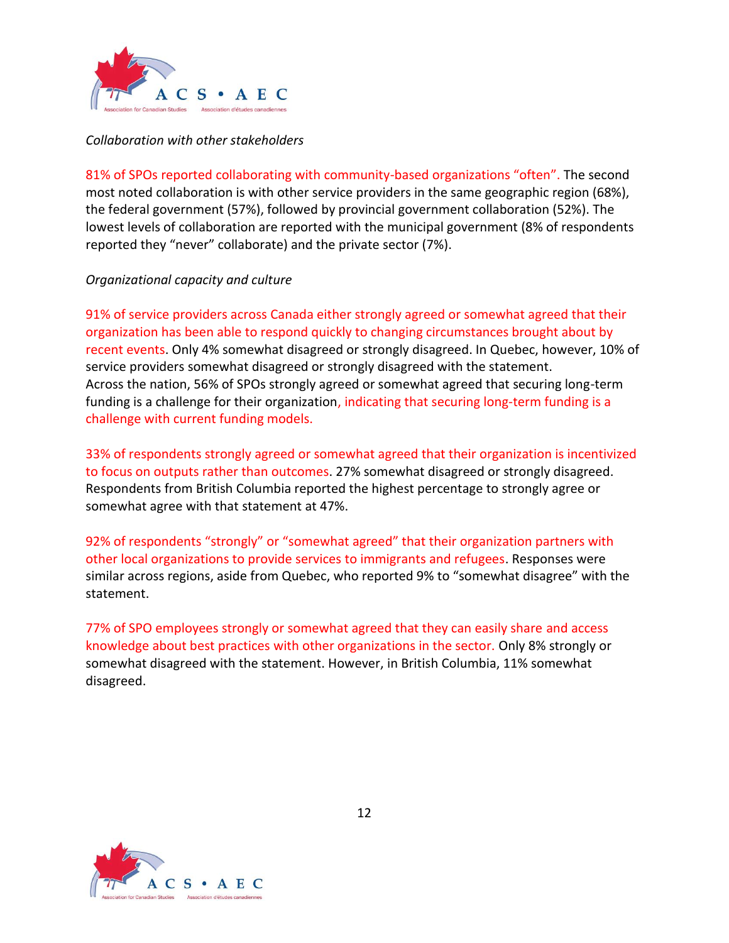

#### *Collaboration with other stakeholders*

81% of SPOs reported collaborating with community-based organizations "often". The second most noted collaboration is with other service providers in the same geographic region (68%), the federal government (57%), followed by provincial government collaboration (52%). The lowest levels of collaboration are reported with the municipal government (8% of respondents reported they "never" collaborate) and the private sector (7%).

#### *Organizational capacity and culture*

91% of service providers across Canada either strongly agreed or somewhat agreed that their organization has been able to respond quickly to changing circumstances brought about by recent events. Only 4% somewhat disagreed or strongly disagreed. In Quebec, however, 10% of service providers somewhat disagreed or strongly disagreed with the statement. Across the nation, 56% of SPOs strongly agreed or somewhat agreed that securing long-term funding is a challenge for their organization, indicating that securing long-term funding is a challenge with current funding models.

33% of respondents strongly agreed or somewhat agreed that their organization is incentivized to focus on outputs rather than outcomes. 27% somewhat disagreed or strongly disagreed. Respondents from British Columbia reported the highest percentage to strongly agree or somewhat agree with that statement at 47%.

92% of respondents "strongly" or "somewhat agreed" that their organization partners with other local organizations to provide services to immigrants and refugees. Responses were similar across regions, aside from Quebec, who reported 9% to "somewhat disagree" with the statement.

77% of SPO employees strongly or somewhat agreed that they can easily share and access knowledge about best practices with other organizations in the sector. Only 8% strongly or somewhat disagreed with the statement. However, in British Columbia, 11% somewhat disagreed.